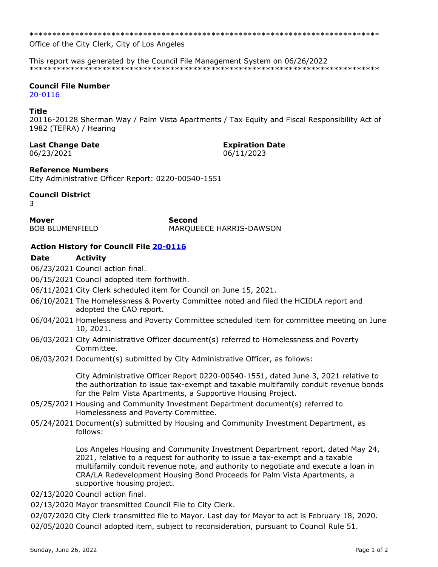Office of the City Clerk, City of Los Angeles

This report was generated by the Council File Management System on 06/26/2022 

### **Council File Number**

20-0116

#### Title

20116-20128 Sherman Way / Palm Vista Apartments / Tax Equity and Fiscal Responsibility Act of 1982 (TEFRA) / Hearing

## **Last Change Date**

06/23/2021

# **Expiration Date**

06/11/2023

#### **Reference Numbers**

City Administrative Officer Report: 0220-00540-1551

#### **Council District**

२

**Mover BOB BLUMENFIELD**  **Second** MARQUEECE HARRIS-DAWSON

#### Action History for Council File 20-0116

#### **Activity Date**

06/23/2021 Council action final.

06/15/2021 Council adopted item forthwith.

- 06/11/2021 City Clerk scheduled item for Council on June 15, 2021.
- 06/10/2021 The Homelessness & Poverty Committee noted and filed the HCIDLA report and adopted the CAO report.
- 06/04/2021 Homelessness and Poverty Committee scheduled item for committee meeting on June 10, 2021.
- 06/03/2021 City Administrative Officer document(s) referred to Homelessness and Poverty Committee.
- 06/03/2021 Document(s) submitted by City Administrative Officer, as follows:

City Administrative Officer Report 0220-00540-1551, dated June 3, 2021 relative to the authorization to issue tax-exempt and taxable multifamily conduit revenue bonds for the Palm Vista Apartments, a Supportive Housing Project.

- 05/25/2021 Housing and Community Investment Department document(s) referred to Homelessness and Poverty Committee.
- 05/24/2021 Document(s) submitted by Housing and Community Investment Department, as follows:

Los Angeles Housing and Community Investment Department report, dated May 24, 2021, relative to a request for authority to issue a tax-exempt and a taxable multifamily conduit revenue note, and authority to negotiate and execute a loan in CRA/LA Redevelopment Housing Bond Proceeds for Palm Vista Apartments, a supportive housing project.

- 02/13/2020 Council action final.
- 02/13/2020 Mayor transmitted Council File to City Clerk.

02/07/2020 City Clerk transmitted file to Mayor. Last day for Mayor to act is February 18, 2020. 02/05/2020 Council adopted item, subject to reconsideration, pursuant to Council Rule 51.